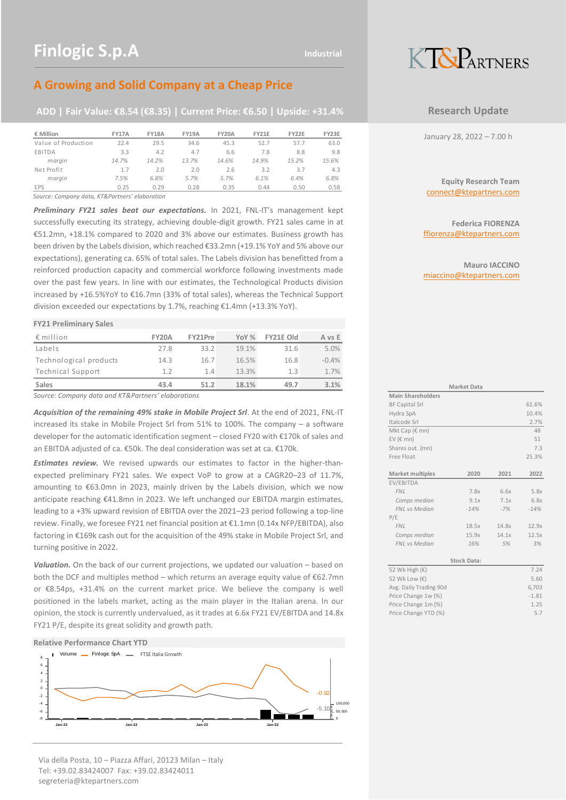# **A Growing and Solid Company at a Cheap Price**

### **ADD | Fair Value: €8.54 (€8.35) | Current Price: €6.50 | Upside: +31.4%**

| € Million           | <b>FY17A</b> | <b>FY18A</b> | <b>FY19A</b> | <b>FY20A</b> | <b>FY21E</b> | FY22E | FY23E |
|---------------------|--------------|--------------|--------------|--------------|--------------|-------|-------|
| Value of Production | 22.4         | 29.5         | 34.6         | 45.3         | 52.7         | 57.7  | 63.0  |
| EBITDA              | 3.3          | 4.2          | 4.7          | 6.6          | 7.8          | 8.8   | 9.8   |
| margin              | 14.7%        | 14.2%        | 13.7%        | 14.6%        | 14.9%        | 15.2% | 15.6% |
| Net Profit          | 1.7          | 2.0          | 2.0          | 2.6          | 3.2          | 3.7   | 4.3   |
| marain              | 7.5%         | 6.8%         | 5.7%         | 5.7%         | 6.1%         | 6.4%  | 6.8%  |
| <b>EPS</b>          | 0.25         | 0.29         | 0.28         | 0.35         | 0.44         | 0.50  | 0.58  |

*Source: Company data, KT&Partners' elaboration*

*Preliminary FY21 sales beat our expectations.* In 2021, FNL-IT's management kept successfully executing its strategy, achieving double-digit growth. FY21 sales came in at €51.2mn, +18.1% compared to 2020 and 3% above our estimates. Business growth has been driven by the Labels division, which reached €33.2mn (+19.1% YoY and 5% above our expectations), generating ca. 65% of total sales. The Labels division has benefitted from a reinforced production capacity and commercial workforce following investments made over the past few years. In line with our estimates, the Technological Products division increased by +16.5%YoY to €16.7mn (33% of total sales), whereas the Technical Support division exceeded our expectations by 1.7%, reaching €1.4mn (+13.3% YoY).

#### **FY21 Preliminary Sales**

| $\epsilon$ million     | <b>FY20A</b> | FY21Pre | YoY % | FY21E Old | A vs E  |
|------------------------|--------------|---------|-------|-----------|---------|
| Labels                 | 27.8         | 33.2    | 19.1% | 31.6      | 5.0%    |
| Technological products | 14.3         | 16.7    | 16.5% | 16.8      | $-0.4%$ |
| Technical Support      | 1.2          | 1.4     | 13.3% | 1.3       | 1.7%    |
| Sales                  | 43.4         | 51.2    | 18.1% | 49.7      | 3.1%    |

*Source: Company data and KT&Partners' elaborations*

*Acquisition of the remaining 49% stake in Mobile Project Srl*. At the end of 2021, FNL-IT increased its stake in Mobile Project Srl from 51% to 100%. The company – a software developer for the automatic identification segment – closed FY20 with €170k of sales and an EBITDA adjusted of ca. €50k. The deal consideration was set at ca. €170k.

*Estimates review.* We revised upwards our estimates to factor in the higher-thanexpected preliminary FY21 sales. We expect VoP to grow at a CAGR20–23 of 11.7%, amounting to €63.0mn in 2023, mainly driven by the Labels division, which we now anticipate reaching €41.8mn in 2023. We left unchanged our EBITDA margin estimates, leading to a +3% upward revision of EBITDA over the 2021–23 period following a top-line review. Finally, we foresee FY21 net financial position at €1.1mn (0.14x NFP/EBITDA), also factoring in €169k cash out for the acquisition of the 49% stake in Mobile Project Srl, and turning positive in 2022.

*Valuation.* On the back of our current projections, we updated our valuation – based on both the DCF and multiples method – which returns an average equity value of €62.7mn or €8.54ps, +31.4% on the current market price. We believe the company is well positioned in the labels market, acting as the main player in the Italian arena. In our opinion, the stock is currently undervalued, as it trades at 6.6x FY21 EV/EBITDA and 14.8x FY21 P/E, despite its great solidity and growth path.

#### **Relative Performance Chart YTD**



Via della Posta, 10 – Piazza Affari, 20123 Milan – Italy Tel: +39.02.83424007 Fax: +39.02.83424011 segreteria@ktepartners.com

# KT&PARTNERS

### **Research Update**

January 28, 2022 – 7.00 h

**Equity Research Team** connect@ktepartners.com

**Federica FIORENZA** ffiorenza@ktepartners.com

**Mauro IACCINO** miaccino@ktepartners.com

|                          | <b>Market Data</b> |       |         |  |  |  |  |  |  |  |
|--------------------------|--------------------|-------|---------|--|--|--|--|--|--|--|
| <b>Main Shareholders</b> |                    |       |         |  |  |  |  |  |  |  |
| <b>BF Capital Srl</b>    |                    |       | 61.6%   |  |  |  |  |  |  |  |
| Hydra SpA                |                    |       | 10.4%   |  |  |  |  |  |  |  |
| Italcode Srl             |                    |       | 2.7%    |  |  |  |  |  |  |  |
| Mkt Cap ( $\epsilon$ mn) |                    |       | 48      |  |  |  |  |  |  |  |
| EV ( $\in$ mn)           |                    |       | 51      |  |  |  |  |  |  |  |
| Shares out. (mn)         |                    |       | 7.3     |  |  |  |  |  |  |  |
| Free Float               |                    |       | 25.3%   |  |  |  |  |  |  |  |
|                          |                    |       |         |  |  |  |  |  |  |  |
| Market multiples         | 2020               | 2021  | 2022    |  |  |  |  |  |  |  |
| EV/EBITDA                |                    |       |         |  |  |  |  |  |  |  |
| <b>FNL</b>               | 7.8x               | 6.6x  | 5.8x    |  |  |  |  |  |  |  |
| Comps median             | 9.1x               | 7.1x  | 6.8x    |  |  |  |  |  |  |  |
| FNL vs Median            | $-14%$             | $-7%$ | $-14%$  |  |  |  |  |  |  |  |
| P/E                      |                    |       |         |  |  |  |  |  |  |  |
| <b>FNL</b>               | 18.5x              | 14.8x | 12.9x   |  |  |  |  |  |  |  |
| Comps median             | 15.9x              | 14.1x | 12.5x   |  |  |  |  |  |  |  |
| FNL vs Median            | 16%                | 5%    | 3%      |  |  |  |  |  |  |  |
|                          |                    |       |         |  |  |  |  |  |  |  |
|                          | <b>Stock Data:</b> |       |         |  |  |  |  |  |  |  |
| 52 Wk High (€)           |                    |       | 7.24    |  |  |  |  |  |  |  |
| 52 Wk Low (€)            |                    |       | 5.60    |  |  |  |  |  |  |  |
| Avg. Daily Trading 90d   |                    |       | 6,703   |  |  |  |  |  |  |  |
| Price Change 1w (%)      |                    |       | $-1.81$ |  |  |  |  |  |  |  |
| Price Change 1m (%)      |                    |       | 1.25    |  |  |  |  |  |  |  |
| Price Change YTD (%)     |                    |       | 5.7     |  |  |  |  |  |  |  |
|                          |                    |       |         |  |  |  |  |  |  |  |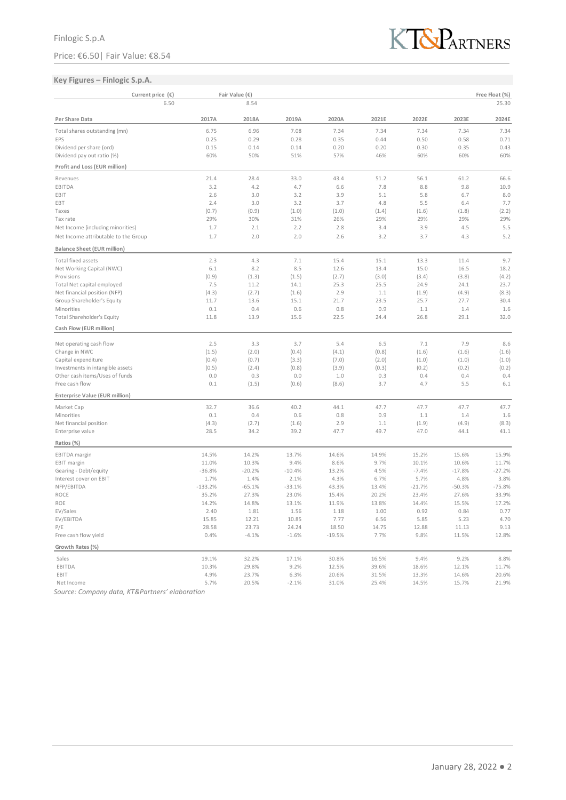### Price: €6.50| Fair Value: €8.54



### **Key Figures – Finlogic S.p.A.**

| 6.50<br>8.54<br>25.30<br>2024E<br>Per Share Data<br>2017A<br>2018A<br>2019A<br>2021E<br>2022E<br>2023E<br>2020A<br>7.34<br>Total shares outstanding (mn)<br>6.75<br>6.96<br>7.08<br>7.34<br>7.34<br>7.34<br>7.34<br>0.58<br>EPS<br>0.25<br>0.29<br>0.28<br>0.35<br>0.44<br>0.50<br>0.71<br>0.20<br>0.43<br>Dividend per share (ord)<br>0.15<br>0.14<br>0.14<br>0.20<br>0.30<br>0.35<br>Dividend pay out ratio (%)<br>60%<br>50%<br>51%<br>57%<br>46%<br>60%<br>60%<br>60%<br>Profit and Loss (EUR million)<br>21.4<br>51.2<br>56.1<br>61.2<br>28.4<br>33.0<br>43.4<br>66.6<br>Revenues<br>3.2<br>4.2<br>4.7<br>6.6<br>7.8<br>8.8<br>9.8<br>10.9<br>EBITDA<br>2.6<br>3.0<br>3.2<br>3.9<br>5.1<br>5.8<br>6.7<br>8.0<br>EBIT<br>7.7<br>2.4<br>3.0<br>3.2<br>3.7<br>4.8<br>5.5<br>6.4<br>EBT<br>(0.7)<br>(0.9)<br>(1.0)<br>(1.0)<br>(1.4)<br>(1.6)<br>(1.8)<br>(2.2)<br>Taxes<br>29%<br>29%<br>30%<br>31%<br>26%<br>29%<br>29%<br>29%<br>Tax rate<br>5.5<br>Net Income (including minorities)<br>1.7<br>2.1<br>2.2<br>2.8<br>3.4<br>3.9<br>4.5<br>5.2<br>Net Income attributable to the Group<br>1.7<br>2.0<br>2.0<br>2.6<br>3.2<br>3.7<br>4.3<br><b>Balance Sheet (EUR million)</b><br>9.7<br>2.3<br>4.3<br>7.1<br>15.4<br>15.1<br>11.4<br>Total fixed assets<br>13.3<br>8.5<br>Net Working Capital (NWC)<br>6.1<br>8.2<br>12.6<br>13.4<br>15.0<br>16.5<br>18.2<br>(0.9)<br>(1.3)<br>(1.5)<br>(2.7)<br>(3.0)<br>(3.4)<br>(3.8)<br>(4.2)<br>Provisions<br>23.7<br>Total Net capital employed<br>7.5<br>11.2<br>14.1<br>25.3<br>25.5<br>24.9<br>24.1<br>Net financial position (NFP)<br>(4.3)<br>(2.7)<br>2.9<br>(4.9)<br>(8.3)<br>(1.6)<br>1.1<br>(1.9)<br>Group Shareholder's Equity<br>11.7<br>13.6<br>15.1<br>21.7<br>23.5<br>25.7<br>27.7<br>30.4<br>Minorities<br>0.6<br>0.8<br>0.9<br>1.4<br>1.6<br>0.1<br>0.4<br>1.1<br>32.0<br>Total Shareholder's Equity<br>11.8<br>13.9<br>15.6<br>22.5<br>24.4<br>26.8<br>29.1<br>Cash Flow (EUR million)<br>Net operating cash flow<br>2.5<br>3.3<br>3.7<br>5.4<br>6.5<br>7.1<br>7.9<br>8.6<br>Change in NWC<br>(1.5)<br>(2.0)<br>(0.4)<br>(0.8)<br>(1.6)<br>(1.6)<br>(1.6)<br>(4.1)<br>Capital expenditure<br>(0.4)<br>(0.7)<br>(7.0)<br>(2.0)<br>(1.0)<br>(1.0)<br>(1.0)<br>(3.3)<br>Investments in intangible assets<br>(0.5)<br>(2.4)<br>(0.8)<br>(3.9)<br>(0.3)<br>(0.2)<br>(0.2)<br>(0.2)<br>0.4<br>Other cash items/Uses of funds<br>0.0<br>0.3<br>0.0<br>1.0<br>0.3<br>0.4<br>0.4<br>5.5<br>Free cash flow<br>0.1<br>(1.5)<br>(8.6)<br>3.7<br>4.7<br>6.1<br>(0.6)<br>Enterprise Value (EUR million)<br>32.7<br>47.7<br>36.6<br>40.2<br>44.1<br>47.7<br>47.7<br>47.7<br>Market Cap<br>0.9<br>1.6<br>0.1<br>0.4<br>0.6<br>0.8<br>1.1<br>1.4<br>Minorities<br>Net financial position<br>(4.3)<br>(2.7)<br>2.9<br>1.1<br>(1.9)<br>(4.9)<br>(8.3)<br>(1.6)<br>28.5<br>34.2<br>39.2<br>47.7<br>49.7<br>47.0<br>44.1<br>41.1<br>Enterprise value<br>Ratios (%)<br>EBITDA margin<br>14.5%<br>14.2%<br>13.7%<br>14.6%<br>14.9%<br>15.2%<br>15.6%<br>15.9%<br>11.0%<br>10.3%<br>9.4%<br>8.6%<br>9.7%<br>11.7%<br><b>EBIT</b> margin<br>10.1%<br>10.6%<br>Gearing - Debt/equity<br>$-36.8%$<br>$-20.2%$<br>$-10.4%$<br>13.2%<br>4.5%<br>$-7.4%$<br>$-17.8%$<br>$-27.2%$<br>Interest cover on EBIT<br>1.7%<br>1.4%<br>2.1%<br>4.3%<br>6.7%<br>5.7%<br>4.8%<br>3.8%<br>NFP/EBITDA<br>$-133.2%$<br>$-65.1%$<br>$-33.1%$<br>43.3%<br>13.4%<br>$-21.7%$<br>$-50.3%$<br>$-75.8%$<br>33.9%<br>ROCE<br>35.2%<br>27.3%<br>23.0%<br>15.4%<br>20.2%<br>23.4%<br>27.6%<br>ROE<br>14.2%<br>14.8%<br>13.1%<br>11.9%<br>13.8%<br>14.4%<br>15.5%<br>17.2%<br>EV/Sales<br>0.92<br>0.77<br>2.40<br>1.81<br>1.56<br>1.18<br>1.00<br>0.84<br>4.70<br>EV/EBITDA<br>15.85<br>12.21<br>10.85<br>7.77<br>6.56<br>5.85<br>5.23<br>23.73<br>18.50<br>9.13<br>P/E<br>28.58<br>24.24<br>14.75<br>12.88<br>11.13<br>Free cash flow yield<br>0.4%<br>$-4.1%$<br>$-19.5%$<br>9.8%<br>12.8%<br>$-1.6%$<br>7.7%<br>11.5%<br>Growth Rates (%)<br>Sales<br>19.1%<br>32.2%<br>17.1%<br>30.8%<br>16.5%<br>9.4%<br>9.2%<br>8.8%<br>EBITDA<br>10.3%<br>29.8%<br>9.2%<br>12.5%<br>39.6%<br>18.6%<br>12.1%<br>11.7%<br>EBIT<br>4.9%<br>23.7%<br>6.3%<br>20.6%<br>14.6%<br>20.6%<br>31.5%<br>13.3%<br>Net Income<br>5.7%<br>20.5%<br>$-2.1%$<br>31.0%<br>25.4%<br>14.5%<br>15.7%<br>21.9% | Current price (€) | Fair Value (€) |  |  | Free Float (%) |
|--------------------------------------------------------------------------------------------------------------------------------------------------------------------------------------------------------------------------------------------------------------------------------------------------------------------------------------------------------------------------------------------------------------------------------------------------------------------------------------------------------------------------------------------------------------------------------------------------------------------------------------------------------------------------------------------------------------------------------------------------------------------------------------------------------------------------------------------------------------------------------------------------------------------------------------------------------------------------------------------------------------------------------------------------------------------------------------------------------------------------------------------------------------------------------------------------------------------------------------------------------------------------------------------------------------------------------------------------------------------------------------------------------------------------------------------------------------------------------------------------------------------------------------------------------------------------------------------------------------------------------------------------------------------------------------------------------------------------------------------------------------------------------------------------------------------------------------------------------------------------------------------------------------------------------------------------------------------------------------------------------------------------------------------------------------------------------------------------------------------------------------------------------------------------------------------------------------------------------------------------------------------------------------------------------------------------------------------------------------------------------------------------------------------------------------------------------------------------------------------------------------------------------------------------------------------------------------------------------------------------------------------------------------------------------------------------------------------------------------------------------------------------------------------------------------------------------------------------------------------------------------------------------------------------------------------------------------------------------------------------------------------------------------------------------------------------------------------------------------------------------------------------------------------------------------------------------------------------------------------------------------------------------------------------------------------------------------------------------------------------------------------------------------------------------------------------------------------------------------------------------------------------------------------------------------------------------------------------------------------------------------------------------------------------------------------------------------------------------------------------------------------------------------------------------------------------------------------------------------------------------------------------------------------------------------------------------------------------------------------------------------------------------------------------------------------------------------------------------------------------------------------------------------------------------------------------------------------------------------------------------------------------------------|-------------------|----------------|--|--|----------------|
|                                                                                                                                                                                                                                                                                                                                                                                                                                                                                                                                                                                                                                                                                                                                                                                                                                                                                                                                                                                                                                                                                                                                                                                                                                                                                                                                                                                                                                                                                                                                                                                                                                                                                                                                                                                                                                                                                                                                                                                                                                                                                                                                                                                                                                                                                                                                                                                                                                                                                                                                                                                                                                                                                                                                                                                                                                                                                                                                                                                                                                                                                                                                                                                                                                                                                                                                                                                                                                                                                                                                                                                                                                                                                                                                                                                                                                                                                                                                                                                                                                                                                                                                                                                                                                                                                      |                   |                |  |  |                |
|                                                                                                                                                                                                                                                                                                                                                                                                                                                                                                                                                                                                                                                                                                                                                                                                                                                                                                                                                                                                                                                                                                                                                                                                                                                                                                                                                                                                                                                                                                                                                                                                                                                                                                                                                                                                                                                                                                                                                                                                                                                                                                                                                                                                                                                                                                                                                                                                                                                                                                                                                                                                                                                                                                                                                                                                                                                                                                                                                                                                                                                                                                                                                                                                                                                                                                                                                                                                                                                                                                                                                                                                                                                                                                                                                                                                                                                                                                                                                                                                                                                                                                                                                                                                                                                                                      |                   |                |  |  |                |
|                                                                                                                                                                                                                                                                                                                                                                                                                                                                                                                                                                                                                                                                                                                                                                                                                                                                                                                                                                                                                                                                                                                                                                                                                                                                                                                                                                                                                                                                                                                                                                                                                                                                                                                                                                                                                                                                                                                                                                                                                                                                                                                                                                                                                                                                                                                                                                                                                                                                                                                                                                                                                                                                                                                                                                                                                                                                                                                                                                                                                                                                                                                                                                                                                                                                                                                                                                                                                                                                                                                                                                                                                                                                                                                                                                                                                                                                                                                                                                                                                                                                                                                                                                                                                                                                                      |                   |                |  |  |                |
|                                                                                                                                                                                                                                                                                                                                                                                                                                                                                                                                                                                                                                                                                                                                                                                                                                                                                                                                                                                                                                                                                                                                                                                                                                                                                                                                                                                                                                                                                                                                                                                                                                                                                                                                                                                                                                                                                                                                                                                                                                                                                                                                                                                                                                                                                                                                                                                                                                                                                                                                                                                                                                                                                                                                                                                                                                                                                                                                                                                                                                                                                                                                                                                                                                                                                                                                                                                                                                                                                                                                                                                                                                                                                                                                                                                                                                                                                                                                                                                                                                                                                                                                                                                                                                                                                      |                   |                |  |  |                |
|                                                                                                                                                                                                                                                                                                                                                                                                                                                                                                                                                                                                                                                                                                                                                                                                                                                                                                                                                                                                                                                                                                                                                                                                                                                                                                                                                                                                                                                                                                                                                                                                                                                                                                                                                                                                                                                                                                                                                                                                                                                                                                                                                                                                                                                                                                                                                                                                                                                                                                                                                                                                                                                                                                                                                                                                                                                                                                                                                                                                                                                                                                                                                                                                                                                                                                                                                                                                                                                                                                                                                                                                                                                                                                                                                                                                                                                                                                                                                                                                                                                                                                                                                                                                                                                                                      |                   |                |  |  |                |
|                                                                                                                                                                                                                                                                                                                                                                                                                                                                                                                                                                                                                                                                                                                                                                                                                                                                                                                                                                                                                                                                                                                                                                                                                                                                                                                                                                                                                                                                                                                                                                                                                                                                                                                                                                                                                                                                                                                                                                                                                                                                                                                                                                                                                                                                                                                                                                                                                                                                                                                                                                                                                                                                                                                                                                                                                                                                                                                                                                                                                                                                                                                                                                                                                                                                                                                                                                                                                                                                                                                                                                                                                                                                                                                                                                                                                                                                                                                                                                                                                                                                                                                                                                                                                                                                                      |                   |                |  |  |                |
|                                                                                                                                                                                                                                                                                                                                                                                                                                                                                                                                                                                                                                                                                                                                                                                                                                                                                                                                                                                                                                                                                                                                                                                                                                                                                                                                                                                                                                                                                                                                                                                                                                                                                                                                                                                                                                                                                                                                                                                                                                                                                                                                                                                                                                                                                                                                                                                                                                                                                                                                                                                                                                                                                                                                                                                                                                                                                                                                                                                                                                                                                                                                                                                                                                                                                                                                                                                                                                                                                                                                                                                                                                                                                                                                                                                                                                                                                                                                                                                                                                                                                                                                                                                                                                                                                      |                   |                |  |  |                |
|                                                                                                                                                                                                                                                                                                                                                                                                                                                                                                                                                                                                                                                                                                                                                                                                                                                                                                                                                                                                                                                                                                                                                                                                                                                                                                                                                                                                                                                                                                                                                                                                                                                                                                                                                                                                                                                                                                                                                                                                                                                                                                                                                                                                                                                                                                                                                                                                                                                                                                                                                                                                                                                                                                                                                                                                                                                                                                                                                                                                                                                                                                                                                                                                                                                                                                                                                                                                                                                                                                                                                                                                                                                                                                                                                                                                                                                                                                                                                                                                                                                                                                                                                                                                                                                                                      |                   |                |  |  |                |
|                                                                                                                                                                                                                                                                                                                                                                                                                                                                                                                                                                                                                                                                                                                                                                                                                                                                                                                                                                                                                                                                                                                                                                                                                                                                                                                                                                                                                                                                                                                                                                                                                                                                                                                                                                                                                                                                                                                                                                                                                                                                                                                                                                                                                                                                                                                                                                                                                                                                                                                                                                                                                                                                                                                                                                                                                                                                                                                                                                                                                                                                                                                                                                                                                                                                                                                                                                                                                                                                                                                                                                                                                                                                                                                                                                                                                                                                                                                                                                                                                                                                                                                                                                                                                                                                                      |                   |                |  |  |                |
|                                                                                                                                                                                                                                                                                                                                                                                                                                                                                                                                                                                                                                                                                                                                                                                                                                                                                                                                                                                                                                                                                                                                                                                                                                                                                                                                                                                                                                                                                                                                                                                                                                                                                                                                                                                                                                                                                                                                                                                                                                                                                                                                                                                                                                                                                                                                                                                                                                                                                                                                                                                                                                                                                                                                                                                                                                                                                                                                                                                                                                                                                                                                                                                                                                                                                                                                                                                                                                                                                                                                                                                                                                                                                                                                                                                                                                                                                                                                                                                                                                                                                                                                                                                                                                                                                      |                   |                |  |  |                |
|                                                                                                                                                                                                                                                                                                                                                                                                                                                                                                                                                                                                                                                                                                                                                                                                                                                                                                                                                                                                                                                                                                                                                                                                                                                                                                                                                                                                                                                                                                                                                                                                                                                                                                                                                                                                                                                                                                                                                                                                                                                                                                                                                                                                                                                                                                                                                                                                                                                                                                                                                                                                                                                                                                                                                                                                                                                                                                                                                                                                                                                                                                                                                                                                                                                                                                                                                                                                                                                                                                                                                                                                                                                                                                                                                                                                                                                                                                                                                                                                                                                                                                                                                                                                                                                                                      |                   |                |  |  |                |
|                                                                                                                                                                                                                                                                                                                                                                                                                                                                                                                                                                                                                                                                                                                                                                                                                                                                                                                                                                                                                                                                                                                                                                                                                                                                                                                                                                                                                                                                                                                                                                                                                                                                                                                                                                                                                                                                                                                                                                                                                                                                                                                                                                                                                                                                                                                                                                                                                                                                                                                                                                                                                                                                                                                                                                                                                                                                                                                                                                                                                                                                                                                                                                                                                                                                                                                                                                                                                                                                                                                                                                                                                                                                                                                                                                                                                                                                                                                                                                                                                                                                                                                                                                                                                                                                                      |                   |                |  |  |                |
|                                                                                                                                                                                                                                                                                                                                                                                                                                                                                                                                                                                                                                                                                                                                                                                                                                                                                                                                                                                                                                                                                                                                                                                                                                                                                                                                                                                                                                                                                                                                                                                                                                                                                                                                                                                                                                                                                                                                                                                                                                                                                                                                                                                                                                                                                                                                                                                                                                                                                                                                                                                                                                                                                                                                                                                                                                                                                                                                                                                                                                                                                                                                                                                                                                                                                                                                                                                                                                                                                                                                                                                                                                                                                                                                                                                                                                                                                                                                                                                                                                                                                                                                                                                                                                                                                      |                   |                |  |  |                |
|                                                                                                                                                                                                                                                                                                                                                                                                                                                                                                                                                                                                                                                                                                                                                                                                                                                                                                                                                                                                                                                                                                                                                                                                                                                                                                                                                                                                                                                                                                                                                                                                                                                                                                                                                                                                                                                                                                                                                                                                                                                                                                                                                                                                                                                                                                                                                                                                                                                                                                                                                                                                                                                                                                                                                                                                                                                                                                                                                                                                                                                                                                                                                                                                                                                                                                                                                                                                                                                                                                                                                                                                                                                                                                                                                                                                                                                                                                                                                                                                                                                                                                                                                                                                                                                                                      |                   |                |  |  |                |
|                                                                                                                                                                                                                                                                                                                                                                                                                                                                                                                                                                                                                                                                                                                                                                                                                                                                                                                                                                                                                                                                                                                                                                                                                                                                                                                                                                                                                                                                                                                                                                                                                                                                                                                                                                                                                                                                                                                                                                                                                                                                                                                                                                                                                                                                                                                                                                                                                                                                                                                                                                                                                                                                                                                                                                                                                                                                                                                                                                                                                                                                                                                                                                                                                                                                                                                                                                                                                                                                                                                                                                                                                                                                                                                                                                                                                                                                                                                                                                                                                                                                                                                                                                                                                                                                                      |                   |                |  |  |                |
|                                                                                                                                                                                                                                                                                                                                                                                                                                                                                                                                                                                                                                                                                                                                                                                                                                                                                                                                                                                                                                                                                                                                                                                                                                                                                                                                                                                                                                                                                                                                                                                                                                                                                                                                                                                                                                                                                                                                                                                                                                                                                                                                                                                                                                                                                                                                                                                                                                                                                                                                                                                                                                                                                                                                                                                                                                                                                                                                                                                                                                                                                                                                                                                                                                                                                                                                                                                                                                                                                                                                                                                                                                                                                                                                                                                                                                                                                                                                                                                                                                                                                                                                                                                                                                                                                      |                   |                |  |  |                |
|                                                                                                                                                                                                                                                                                                                                                                                                                                                                                                                                                                                                                                                                                                                                                                                                                                                                                                                                                                                                                                                                                                                                                                                                                                                                                                                                                                                                                                                                                                                                                                                                                                                                                                                                                                                                                                                                                                                                                                                                                                                                                                                                                                                                                                                                                                                                                                                                                                                                                                                                                                                                                                                                                                                                                                                                                                                                                                                                                                                                                                                                                                                                                                                                                                                                                                                                                                                                                                                                                                                                                                                                                                                                                                                                                                                                                                                                                                                                                                                                                                                                                                                                                                                                                                                                                      |                   |                |  |  |                |
|                                                                                                                                                                                                                                                                                                                                                                                                                                                                                                                                                                                                                                                                                                                                                                                                                                                                                                                                                                                                                                                                                                                                                                                                                                                                                                                                                                                                                                                                                                                                                                                                                                                                                                                                                                                                                                                                                                                                                                                                                                                                                                                                                                                                                                                                                                                                                                                                                                                                                                                                                                                                                                                                                                                                                                                                                                                                                                                                                                                                                                                                                                                                                                                                                                                                                                                                                                                                                                                                                                                                                                                                                                                                                                                                                                                                                                                                                                                                                                                                                                                                                                                                                                                                                                                                                      |                   |                |  |  |                |
|                                                                                                                                                                                                                                                                                                                                                                                                                                                                                                                                                                                                                                                                                                                                                                                                                                                                                                                                                                                                                                                                                                                                                                                                                                                                                                                                                                                                                                                                                                                                                                                                                                                                                                                                                                                                                                                                                                                                                                                                                                                                                                                                                                                                                                                                                                                                                                                                                                                                                                                                                                                                                                                                                                                                                                                                                                                                                                                                                                                                                                                                                                                                                                                                                                                                                                                                                                                                                                                                                                                                                                                                                                                                                                                                                                                                                                                                                                                                                                                                                                                                                                                                                                                                                                                                                      |                   |                |  |  |                |
|                                                                                                                                                                                                                                                                                                                                                                                                                                                                                                                                                                                                                                                                                                                                                                                                                                                                                                                                                                                                                                                                                                                                                                                                                                                                                                                                                                                                                                                                                                                                                                                                                                                                                                                                                                                                                                                                                                                                                                                                                                                                                                                                                                                                                                                                                                                                                                                                                                                                                                                                                                                                                                                                                                                                                                                                                                                                                                                                                                                                                                                                                                                                                                                                                                                                                                                                                                                                                                                                                                                                                                                                                                                                                                                                                                                                                                                                                                                                                                                                                                                                                                                                                                                                                                                                                      |                   |                |  |  |                |
|                                                                                                                                                                                                                                                                                                                                                                                                                                                                                                                                                                                                                                                                                                                                                                                                                                                                                                                                                                                                                                                                                                                                                                                                                                                                                                                                                                                                                                                                                                                                                                                                                                                                                                                                                                                                                                                                                                                                                                                                                                                                                                                                                                                                                                                                                                                                                                                                                                                                                                                                                                                                                                                                                                                                                                                                                                                                                                                                                                                                                                                                                                                                                                                                                                                                                                                                                                                                                                                                                                                                                                                                                                                                                                                                                                                                                                                                                                                                                                                                                                                                                                                                                                                                                                                                                      |                   |                |  |  |                |
|                                                                                                                                                                                                                                                                                                                                                                                                                                                                                                                                                                                                                                                                                                                                                                                                                                                                                                                                                                                                                                                                                                                                                                                                                                                                                                                                                                                                                                                                                                                                                                                                                                                                                                                                                                                                                                                                                                                                                                                                                                                                                                                                                                                                                                                                                                                                                                                                                                                                                                                                                                                                                                                                                                                                                                                                                                                                                                                                                                                                                                                                                                                                                                                                                                                                                                                                                                                                                                                                                                                                                                                                                                                                                                                                                                                                                                                                                                                                                                                                                                                                                                                                                                                                                                                                                      |                   |                |  |  |                |
|                                                                                                                                                                                                                                                                                                                                                                                                                                                                                                                                                                                                                                                                                                                                                                                                                                                                                                                                                                                                                                                                                                                                                                                                                                                                                                                                                                                                                                                                                                                                                                                                                                                                                                                                                                                                                                                                                                                                                                                                                                                                                                                                                                                                                                                                                                                                                                                                                                                                                                                                                                                                                                                                                                                                                                                                                                                                                                                                                                                                                                                                                                                                                                                                                                                                                                                                                                                                                                                                                                                                                                                                                                                                                                                                                                                                                                                                                                                                                                                                                                                                                                                                                                                                                                                                                      |                   |                |  |  |                |
|                                                                                                                                                                                                                                                                                                                                                                                                                                                                                                                                                                                                                                                                                                                                                                                                                                                                                                                                                                                                                                                                                                                                                                                                                                                                                                                                                                                                                                                                                                                                                                                                                                                                                                                                                                                                                                                                                                                                                                                                                                                                                                                                                                                                                                                                                                                                                                                                                                                                                                                                                                                                                                                                                                                                                                                                                                                                                                                                                                                                                                                                                                                                                                                                                                                                                                                                                                                                                                                                                                                                                                                                                                                                                                                                                                                                                                                                                                                                                                                                                                                                                                                                                                                                                                                                                      |                   |                |  |  |                |
|                                                                                                                                                                                                                                                                                                                                                                                                                                                                                                                                                                                                                                                                                                                                                                                                                                                                                                                                                                                                                                                                                                                                                                                                                                                                                                                                                                                                                                                                                                                                                                                                                                                                                                                                                                                                                                                                                                                                                                                                                                                                                                                                                                                                                                                                                                                                                                                                                                                                                                                                                                                                                                                                                                                                                                                                                                                                                                                                                                                                                                                                                                                                                                                                                                                                                                                                                                                                                                                                                                                                                                                                                                                                                                                                                                                                                                                                                                                                                                                                                                                                                                                                                                                                                                                                                      |                   |                |  |  |                |
|                                                                                                                                                                                                                                                                                                                                                                                                                                                                                                                                                                                                                                                                                                                                                                                                                                                                                                                                                                                                                                                                                                                                                                                                                                                                                                                                                                                                                                                                                                                                                                                                                                                                                                                                                                                                                                                                                                                                                                                                                                                                                                                                                                                                                                                                                                                                                                                                                                                                                                                                                                                                                                                                                                                                                                                                                                                                                                                                                                                                                                                                                                                                                                                                                                                                                                                                                                                                                                                                                                                                                                                                                                                                                                                                                                                                                                                                                                                                                                                                                                                                                                                                                                                                                                                                                      |                   |                |  |  |                |
|                                                                                                                                                                                                                                                                                                                                                                                                                                                                                                                                                                                                                                                                                                                                                                                                                                                                                                                                                                                                                                                                                                                                                                                                                                                                                                                                                                                                                                                                                                                                                                                                                                                                                                                                                                                                                                                                                                                                                                                                                                                                                                                                                                                                                                                                                                                                                                                                                                                                                                                                                                                                                                                                                                                                                                                                                                                                                                                                                                                                                                                                                                                                                                                                                                                                                                                                                                                                                                                                                                                                                                                                                                                                                                                                                                                                                                                                                                                                                                                                                                                                                                                                                                                                                                                                                      |                   |                |  |  |                |
|                                                                                                                                                                                                                                                                                                                                                                                                                                                                                                                                                                                                                                                                                                                                                                                                                                                                                                                                                                                                                                                                                                                                                                                                                                                                                                                                                                                                                                                                                                                                                                                                                                                                                                                                                                                                                                                                                                                                                                                                                                                                                                                                                                                                                                                                                                                                                                                                                                                                                                                                                                                                                                                                                                                                                                                                                                                                                                                                                                                                                                                                                                                                                                                                                                                                                                                                                                                                                                                                                                                                                                                                                                                                                                                                                                                                                                                                                                                                                                                                                                                                                                                                                                                                                                                                                      |                   |                |  |  |                |
|                                                                                                                                                                                                                                                                                                                                                                                                                                                                                                                                                                                                                                                                                                                                                                                                                                                                                                                                                                                                                                                                                                                                                                                                                                                                                                                                                                                                                                                                                                                                                                                                                                                                                                                                                                                                                                                                                                                                                                                                                                                                                                                                                                                                                                                                                                                                                                                                                                                                                                                                                                                                                                                                                                                                                                                                                                                                                                                                                                                                                                                                                                                                                                                                                                                                                                                                                                                                                                                                                                                                                                                                                                                                                                                                                                                                                                                                                                                                                                                                                                                                                                                                                                                                                                                                                      |                   |                |  |  |                |
|                                                                                                                                                                                                                                                                                                                                                                                                                                                                                                                                                                                                                                                                                                                                                                                                                                                                                                                                                                                                                                                                                                                                                                                                                                                                                                                                                                                                                                                                                                                                                                                                                                                                                                                                                                                                                                                                                                                                                                                                                                                                                                                                                                                                                                                                                                                                                                                                                                                                                                                                                                                                                                                                                                                                                                                                                                                                                                                                                                                                                                                                                                                                                                                                                                                                                                                                                                                                                                                                                                                                                                                                                                                                                                                                                                                                                                                                                                                                                                                                                                                                                                                                                                                                                                                                                      |                   |                |  |  |                |
|                                                                                                                                                                                                                                                                                                                                                                                                                                                                                                                                                                                                                                                                                                                                                                                                                                                                                                                                                                                                                                                                                                                                                                                                                                                                                                                                                                                                                                                                                                                                                                                                                                                                                                                                                                                                                                                                                                                                                                                                                                                                                                                                                                                                                                                                                                                                                                                                                                                                                                                                                                                                                                                                                                                                                                                                                                                                                                                                                                                                                                                                                                                                                                                                                                                                                                                                                                                                                                                                                                                                                                                                                                                                                                                                                                                                                                                                                                                                                                                                                                                                                                                                                                                                                                                                                      |                   |                |  |  |                |
|                                                                                                                                                                                                                                                                                                                                                                                                                                                                                                                                                                                                                                                                                                                                                                                                                                                                                                                                                                                                                                                                                                                                                                                                                                                                                                                                                                                                                                                                                                                                                                                                                                                                                                                                                                                                                                                                                                                                                                                                                                                                                                                                                                                                                                                                                                                                                                                                                                                                                                                                                                                                                                                                                                                                                                                                                                                                                                                                                                                                                                                                                                                                                                                                                                                                                                                                                                                                                                                                                                                                                                                                                                                                                                                                                                                                                                                                                                                                                                                                                                                                                                                                                                                                                                                                                      |                   |                |  |  |                |
|                                                                                                                                                                                                                                                                                                                                                                                                                                                                                                                                                                                                                                                                                                                                                                                                                                                                                                                                                                                                                                                                                                                                                                                                                                                                                                                                                                                                                                                                                                                                                                                                                                                                                                                                                                                                                                                                                                                                                                                                                                                                                                                                                                                                                                                                                                                                                                                                                                                                                                                                                                                                                                                                                                                                                                                                                                                                                                                                                                                                                                                                                                                                                                                                                                                                                                                                                                                                                                                                                                                                                                                                                                                                                                                                                                                                                                                                                                                                                                                                                                                                                                                                                                                                                                                                                      |                   |                |  |  |                |
|                                                                                                                                                                                                                                                                                                                                                                                                                                                                                                                                                                                                                                                                                                                                                                                                                                                                                                                                                                                                                                                                                                                                                                                                                                                                                                                                                                                                                                                                                                                                                                                                                                                                                                                                                                                                                                                                                                                                                                                                                                                                                                                                                                                                                                                                                                                                                                                                                                                                                                                                                                                                                                                                                                                                                                                                                                                                                                                                                                                                                                                                                                                                                                                                                                                                                                                                                                                                                                                                                                                                                                                                                                                                                                                                                                                                                                                                                                                                                                                                                                                                                                                                                                                                                                                                                      |                   |                |  |  |                |
|                                                                                                                                                                                                                                                                                                                                                                                                                                                                                                                                                                                                                                                                                                                                                                                                                                                                                                                                                                                                                                                                                                                                                                                                                                                                                                                                                                                                                                                                                                                                                                                                                                                                                                                                                                                                                                                                                                                                                                                                                                                                                                                                                                                                                                                                                                                                                                                                                                                                                                                                                                                                                                                                                                                                                                                                                                                                                                                                                                                                                                                                                                                                                                                                                                                                                                                                                                                                                                                                                                                                                                                                                                                                                                                                                                                                                                                                                                                                                                                                                                                                                                                                                                                                                                                                                      |                   |                |  |  |                |
|                                                                                                                                                                                                                                                                                                                                                                                                                                                                                                                                                                                                                                                                                                                                                                                                                                                                                                                                                                                                                                                                                                                                                                                                                                                                                                                                                                                                                                                                                                                                                                                                                                                                                                                                                                                                                                                                                                                                                                                                                                                                                                                                                                                                                                                                                                                                                                                                                                                                                                                                                                                                                                                                                                                                                                                                                                                                                                                                                                                                                                                                                                                                                                                                                                                                                                                                                                                                                                                                                                                                                                                                                                                                                                                                                                                                                                                                                                                                                                                                                                                                                                                                                                                                                                                                                      |                   |                |  |  |                |
|                                                                                                                                                                                                                                                                                                                                                                                                                                                                                                                                                                                                                                                                                                                                                                                                                                                                                                                                                                                                                                                                                                                                                                                                                                                                                                                                                                                                                                                                                                                                                                                                                                                                                                                                                                                                                                                                                                                                                                                                                                                                                                                                                                                                                                                                                                                                                                                                                                                                                                                                                                                                                                                                                                                                                                                                                                                                                                                                                                                                                                                                                                                                                                                                                                                                                                                                                                                                                                                                                                                                                                                                                                                                                                                                                                                                                                                                                                                                                                                                                                                                                                                                                                                                                                                                                      |                   |                |  |  |                |
|                                                                                                                                                                                                                                                                                                                                                                                                                                                                                                                                                                                                                                                                                                                                                                                                                                                                                                                                                                                                                                                                                                                                                                                                                                                                                                                                                                                                                                                                                                                                                                                                                                                                                                                                                                                                                                                                                                                                                                                                                                                                                                                                                                                                                                                                                                                                                                                                                                                                                                                                                                                                                                                                                                                                                                                                                                                                                                                                                                                                                                                                                                                                                                                                                                                                                                                                                                                                                                                                                                                                                                                                                                                                                                                                                                                                                                                                                                                                                                                                                                                                                                                                                                                                                                                                                      |                   |                |  |  |                |
|                                                                                                                                                                                                                                                                                                                                                                                                                                                                                                                                                                                                                                                                                                                                                                                                                                                                                                                                                                                                                                                                                                                                                                                                                                                                                                                                                                                                                                                                                                                                                                                                                                                                                                                                                                                                                                                                                                                                                                                                                                                                                                                                                                                                                                                                                                                                                                                                                                                                                                                                                                                                                                                                                                                                                                                                                                                                                                                                                                                                                                                                                                                                                                                                                                                                                                                                                                                                                                                                                                                                                                                                                                                                                                                                                                                                                                                                                                                                                                                                                                                                                                                                                                                                                                                                                      |                   |                |  |  |                |
|                                                                                                                                                                                                                                                                                                                                                                                                                                                                                                                                                                                                                                                                                                                                                                                                                                                                                                                                                                                                                                                                                                                                                                                                                                                                                                                                                                                                                                                                                                                                                                                                                                                                                                                                                                                                                                                                                                                                                                                                                                                                                                                                                                                                                                                                                                                                                                                                                                                                                                                                                                                                                                                                                                                                                                                                                                                                                                                                                                                                                                                                                                                                                                                                                                                                                                                                                                                                                                                                                                                                                                                                                                                                                                                                                                                                                                                                                                                                                                                                                                                                                                                                                                                                                                                                                      |                   |                |  |  |                |
|                                                                                                                                                                                                                                                                                                                                                                                                                                                                                                                                                                                                                                                                                                                                                                                                                                                                                                                                                                                                                                                                                                                                                                                                                                                                                                                                                                                                                                                                                                                                                                                                                                                                                                                                                                                                                                                                                                                                                                                                                                                                                                                                                                                                                                                                                                                                                                                                                                                                                                                                                                                                                                                                                                                                                                                                                                                                                                                                                                                                                                                                                                                                                                                                                                                                                                                                                                                                                                                                                                                                                                                                                                                                                                                                                                                                                                                                                                                                                                                                                                                                                                                                                                                                                                                                                      |                   |                |  |  |                |
|                                                                                                                                                                                                                                                                                                                                                                                                                                                                                                                                                                                                                                                                                                                                                                                                                                                                                                                                                                                                                                                                                                                                                                                                                                                                                                                                                                                                                                                                                                                                                                                                                                                                                                                                                                                                                                                                                                                                                                                                                                                                                                                                                                                                                                                                                                                                                                                                                                                                                                                                                                                                                                                                                                                                                                                                                                                                                                                                                                                                                                                                                                                                                                                                                                                                                                                                                                                                                                                                                                                                                                                                                                                                                                                                                                                                                                                                                                                                                                                                                                                                                                                                                                                                                                                                                      |                   |                |  |  |                |
|                                                                                                                                                                                                                                                                                                                                                                                                                                                                                                                                                                                                                                                                                                                                                                                                                                                                                                                                                                                                                                                                                                                                                                                                                                                                                                                                                                                                                                                                                                                                                                                                                                                                                                                                                                                                                                                                                                                                                                                                                                                                                                                                                                                                                                                                                                                                                                                                                                                                                                                                                                                                                                                                                                                                                                                                                                                                                                                                                                                                                                                                                                                                                                                                                                                                                                                                                                                                                                                                                                                                                                                                                                                                                                                                                                                                                                                                                                                                                                                                                                                                                                                                                                                                                                                                                      |                   |                |  |  |                |
|                                                                                                                                                                                                                                                                                                                                                                                                                                                                                                                                                                                                                                                                                                                                                                                                                                                                                                                                                                                                                                                                                                                                                                                                                                                                                                                                                                                                                                                                                                                                                                                                                                                                                                                                                                                                                                                                                                                                                                                                                                                                                                                                                                                                                                                                                                                                                                                                                                                                                                                                                                                                                                                                                                                                                                                                                                                                                                                                                                                                                                                                                                                                                                                                                                                                                                                                                                                                                                                                                                                                                                                                                                                                                                                                                                                                                                                                                                                                                                                                                                                                                                                                                                                                                                                                                      |                   |                |  |  |                |
|                                                                                                                                                                                                                                                                                                                                                                                                                                                                                                                                                                                                                                                                                                                                                                                                                                                                                                                                                                                                                                                                                                                                                                                                                                                                                                                                                                                                                                                                                                                                                                                                                                                                                                                                                                                                                                                                                                                                                                                                                                                                                                                                                                                                                                                                                                                                                                                                                                                                                                                                                                                                                                                                                                                                                                                                                                                                                                                                                                                                                                                                                                                                                                                                                                                                                                                                                                                                                                                                                                                                                                                                                                                                                                                                                                                                                                                                                                                                                                                                                                                                                                                                                                                                                                                                                      |                   |                |  |  |                |
|                                                                                                                                                                                                                                                                                                                                                                                                                                                                                                                                                                                                                                                                                                                                                                                                                                                                                                                                                                                                                                                                                                                                                                                                                                                                                                                                                                                                                                                                                                                                                                                                                                                                                                                                                                                                                                                                                                                                                                                                                                                                                                                                                                                                                                                                                                                                                                                                                                                                                                                                                                                                                                                                                                                                                                                                                                                                                                                                                                                                                                                                                                                                                                                                                                                                                                                                                                                                                                                                                                                                                                                                                                                                                                                                                                                                                                                                                                                                                                                                                                                                                                                                                                                                                                                                                      |                   |                |  |  |                |
|                                                                                                                                                                                                                                                                                                                                                                                                                                                                                                                                                                                                                                                                                                                                                                                                                                                                                                                                                                                                                                                                                                                                                                                                                                                                                                                                                                                                                                                                                                                                                                                                                                                                                                                                                                                                                                                                                                                                                                                                                                                                                                                                                                                                                                                                                                                                                                                                                                                                                                                                                                                                                                                                                                                                                                                                                                                                                                                                                                                                                                                                                                                                                                                                                                                                                                                                                                                                                                                                                                                                                                                                                                                                                                                                                                                                                                                                                                                                                                                                                                                                                                                                                                                                                                                                                      |                   |                |  |  |                |
|                                                                                                                                                                                                                                                                                                                                                                                                                                                                                                                                                                                                                                                                                                                                                                                                                                                                                                                                                                                                                                                                                                                                                                                                                                                                                                                                                                                                                                                                                                                                                                                                                                                                                                                                                                                                                                                                                                                                                                                                                                                                                                                                                                                                                                                                                                                                                                                                                                                                                                                                                                                                                                                                                                                                                                                                                                                                                                                                                                                                                                                                                                                                                                                                                                                                                                                                                                                                                                                                                                                                                                                                                                                                                                                                                                                                                                                                                                                                                                                                                                                                                                                                                                                                                                                                                      |                   |                |  |  |                |
|                                                                                                                                                                                                                                                                                                                                                                                                                                                                                                                                                                                                                                                                                                                                                                                                                                                                                                                                                                                                                                                                                                                                                                                                                                                                                                                                                                                                                                                                                                                                                                                                                                                                                                                                                                                                                                                                                                                                                                                                                                                                                                                                                                                                                                                                                                                                                                                                                                                                                                                                                                                                                                                                                                                                                                                                                                                                                                                                                                                                                                                                                                                                                                                                                                                                                                                                                                                                                                                                                                                                                                                                                                                                                                                                                                                                                                                                                                                                                                                                                                                                                                                                                                                                                                                                                      |                   |                |  |  |                |
|                                                                                                                                                                                                                                                                                                                                                                                                                                                                                                                                                                                                                                                                                                                                                                                                                                                                                                                                                                                                                                                                                                                                                                                                                                                                                                                                                                                                                                                                                                                                                                                                                                                                                                                                                                                                                                                                                                                                                                                                                                                                                                                                                                                                                                                                                                                                                                                                                                                                                                                                                                                                                                                                                                                                                                                                                                                                                                                                                                                                                                                                                                                                                                                                                                                                                                                                                                                                                                                                                                                                                                                                                                                                                                                                                                                                                                                                                                                                                                                                                                                                                                                                                                                                                                                                                      |                   |                |  |  |                |
|                                                                                                                                                                                                                                                                                                                                                                                                                                                                                                                                                                                                                                                                                                                                                                                                                                                                                                                                                                                                                                                                                                                                                                                                                                                                                                                                                                                                                                                                                                                                                                                                                                                                                                                                                                                                                                                                                                                                                                                                                                                                                                                                                                                                                                                                                                                                                                                                                                                                                                                                                                                                                                                                                                                                                                                                                                                                                                                                                                                                                                                                                                                                                                                                                                                                                                                                                                                                                                                                                                                                                                                                                                                                                                                                                                                                                                                                                                                                                                                                                                                                                                                                                                                                                                                                                      |                   |                |  |  |                |
|                                                                                                                                                                                                                                                                                                                                                                                                                                                                                                                                                                                                                                                                                                                                                                                                                                                                                                                                                                                                                                                                                                                                                                                                                                                                                                                                                                                                                                                                                                                                                                                                                                                                                                                                                                                                                                                                                                                                                                                                                                                                                                                                                                                                                                                                                                                                                                                                                                                                                                                                                                                                                                                                                                                                                                                                                                                                                                                                                                                                                                                                                                                                                                                                                                                                                                                                                                                                                                                                                                                                                                                                                                                                                                                                                                                                                                                                                                                                                                                                                                                                                                                                                                                                                                                                                      |                   |                |  |  |                |

*Source: Company data, KT&Partners' elaboration*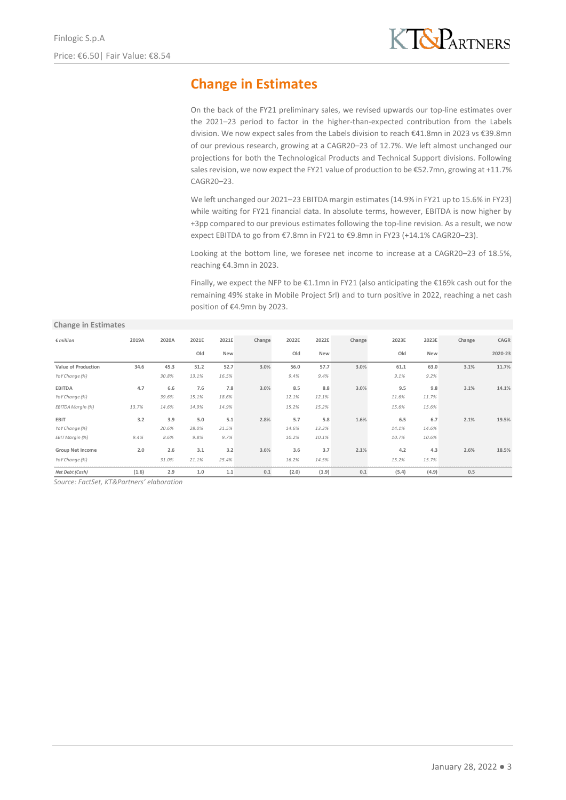# **Change in Estimates**

On the back of the FY21 preliminary sales, we revised upwards our top-line estimates over the 2021–23 period to factor in the higher-than-expected contribution from the Labels division. We now expect sales from the Labels division to reach €41.8mn in 2023 vs €39.8mn of our previous research, growing at a CAGR20–23 of 12.7%. We left almost unchanged our projections for both the Technological Products and Technical Support divisions. Following sales revision, we now expect the FY21 value of production to be €52.7mn, growing at +11.7% CAGR20–23.

We left unchanged our 2021–23 EBITDA margin estimates (14.9% in FY21 up to 15.6% in FY23) while waiting for FY21 financial data. In absolute terms, however, EBITDA is now higher by +3pp compared to our previous estimates following the top-line revision. As a result, we now expect EBITDA to go from €7.8mn in FY21 to €9.8mn in FY23 (+14.1% CAGR20–23).

Looking at the bottom line, we foresee net income to increase at a CAGR20–23 of 18.5%, reaching €4.3mn in 2023.

Finally, we expect the NFP to be €1.1mn in FY21 (also anticipating the €169k cash out for the remaining 49% stake in Mobile Project Srl) and to turn positive in 2022, reaching a net cash position of €4.9mn by 2023.

#### **Change in Estimates**

| $\epsilon$ million      | 2019A | 2020A | 2021E | 2021E | Change | 2022E | 2022E | Change | 2023E | 2023E | Change | CAGR    |
|-------------------------|-------|-------|-------|-------|--------|-------|-------|--------|-------|-------|--------|---------|
|                         |       |       | Old   | New   |        | Old   | New   |        | Old   | New   |        | 2020-23 |
| Value of Production     | 34.6  | 45.3  | 51.2  | 52.7  | 3.0%   | 56.0  | 57.7  | 3.0%   | 61.1  | 63.0  | 3.1%   | 11.7%   |
| YoY Change (%)          |       | 30.8% | 13.1% | 16.5% |        | 9.4%  | 9.4%  |        | 9.1%  | 9.2%  |        |         |
| <b>EBITDA</b>           | 4.7   | 6.6   | 7.6   | 7.8   | 3.0%   | 8.5   | 8.8   | 3.0%   | 9.5   | 9.8   | 3.1%   | 14.1%   |
| YoY Change (%)          |       | 39.6% | 15.1% | 18.6% |        | 12.1% | 12.1% |        | 11.6% | 11.7% |        |         |
| EBITDA Margin (%)       | 13.7% | 14.6% | 14.9% | 14.9% |        | 15.2% | 15.2% |        | 15.6% | 15.6% |        |         |
| <b>EBIT</b>             | 3.2   | 3.9   | 5.0   | 5.1   | 2.8%   | 5.7   | 5.8   | 1.6%   | 6.5   | 6.7   | 2.1%   | 19.5%   |
| YoY Change (%)          |       | 20.6% | 28.0% | 31.5% |        | 14.6% | 13.3% |        | 14.1% | 14.6% |        |         |
| EBIT Margin (%)         | 9.4%  | 8.6%  | 9.8%  | 9.7%  |        | 10.2% | 10.1% |        | 10.7% | 10.6% |        |         |
| <b>Group Net Income</b> | 2.0   | 2.6   | 3.1   | 3.2   | 3.6%   | 3.6   | 3.7   | 2.1%   | 4.2   | 4.3   | 2.6%   | 18.5%   |
| YoY Change (%)          |       | 31.0% | 21.1% | 25.4% |        | 16.2% | 14.5% |        | 15.2% | 15.7% |        |         |
| Net Debt (Cash)         | (1.6) | 2.9   | 1.0   | 1.1   | 0.1    | (2.0) | (1.9) | 0.1    | (5.4) | (4.9) | 0.5    |         |

*Source: FactSet, KT&Partners' elaboration*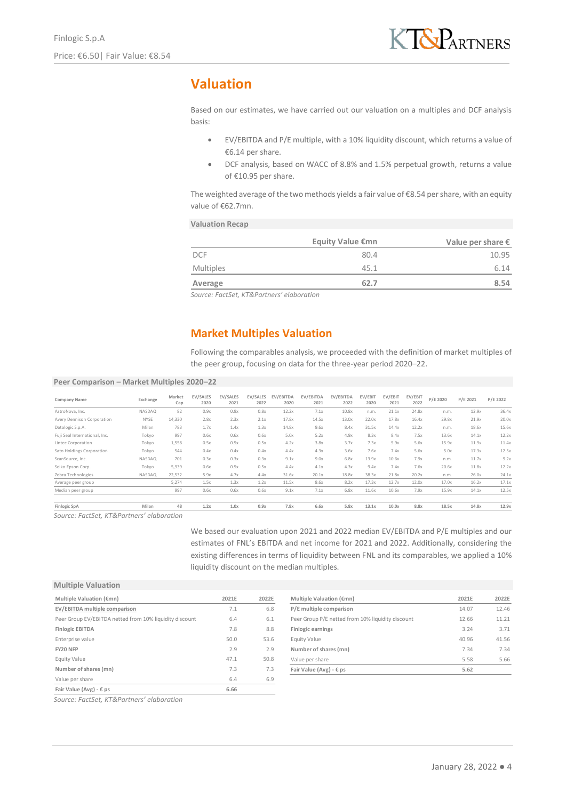# **Valuation**

Based on our estimates, we have carried out our valuation on a multiples and DCF analysis basis:

- EV/EBITDA and P/E multiple, with a 10% liquidity discount, which returns a value of €6.14 per share.
- DCF analysis, based on WACC of 8.8% and 1.5% perpetual growth, returns a value of €10.95 per share.

The weighted average of the two methods yields a fair value of  $\epsilon$ 8.54 per share, with an equity value of €62.7mn.

### **Valuation Recap**

|                         |                                                                                                                                                                                                         |                         |                   |                   | Equity Value €mn  | Value per share $\epsilon$ |                 |                 |          |          |          |  |
|-------------------------|---------------------------------------------------------------------------------------------------------------------------------------------------------------------------------------------------------|-------------------------|-------------------|-------------------|-------------------|----------------------------|-----------------|-----------------|----------|----------|----------|--|
| <b>DCF</b>              |                                                                                                                                                                                                         |                         |                   |                   |                   | 80.4                       |                 |                 |          |          | 10.95    |  |
| <b>Multiples</b>        |                                                                                                                                                                                                         |                         |                   |                   | 45.1<br>6.14      |                            |                 |                 |          |          |          |  |
| Average                 |                                                                                                                                                                                                         |                         |                   |                   |                   | 62.7                       |                 |                 |          |          | 8.54     |  |
|                         | Source: FactSet, KT&Partners' elaboration                                                                                                                                                               |                         |                   |                   |                   |                            |                 |                 |          |          |          |  |
|                         | <b>Market Multiples Valuation</b><br>Following the comparables analysis, we proceeded with the definition of market multiples of<br>the peer group, focusing on data for the three-year period 2020–22. |                         |                   |                   |                   |                            |                 |                 |          |          |          |  |
| 2020-22                 |                                                                                                                                                                                                         |                         |                   |                   |                   |                            |                 |                 |          |          |          |  |
| <b>EV/SALES</b><br>2020 | <b>EV/SALES</b><br>2021                                                                                                                                                                                 | <b>EV/SALES</b><br>2022 | EV/EBITDA<br>2020 | EV/EBITDA<br>2021 | EV/EBITDA<br>2022 | EV/EBIT<br>2020            | EV/EBIT<br>2021 | EV/EBIT<br>2022 | P/E 2020 | P/E 2021 | P/E 2022 |  |

### **Market Multiples Valuation**

#### **Peer Comparison – Market Multiples 2020–22**

| Company Name                  | Exchange    | Market<br>Cap | EV/SALES<br>2020 | EV/SALES<br>2021 | EV/SALES<br>2022 | EV/EBITDA<br>2020 | EV/EBITDA<br>2021 | EV/EBITDA<br>2022 | EV/EBIT<br>2020 | EV/EBIT<br>2021 | EV/EBIT<br>2022 | P/E 2020 | P/E 2021 | P/E 2022 |
|-------------------------------|-------------|---------------|------------------|------------------|------------------|-------------------|-------------------|-------------------|-----------------|-----------------|-----------------|----------|----------|----------|
| AstroNova, Inc.               | NASDAQ      | 82            | 0.9x             | 0.9x             | 0.8x             | 12.2x             | 7.1x              | 10.8x             | n.m.            | 21.1x           | 24.8x           | n.m.     | 12.9x    | 36.4x    |
| Avery Dennison Corporation    | <b>NYSE</b> | 14.330        | 2.8x             | 2.3x             | 2.1x             | 17.8x             | 14.5x             | 13.0x             | 22.0x           | 17.8x           | 16.4x           | 29.8x    | 21.9x    | 20.0x    |
| Datalogic S.p.A.              | Milan       | 783           | 1.7x             | 1.4x             | 1.3x             | 14.8x             | 9.6x              | 8.4x              | 31.5x           | 14.4x           | 12.2x           | n.m.     | 18.6x    | 15.6x    |
| Fuji Seal International, Inc. | Tokyo       | 997           | 0.6x             | 0.6x             | 0.6x             | 5.0x              | 5.2x              | 4.9x              | 8.3x            | 8.4x            | 7.5x            | 13.6x    | 14.1x    | 12.2x    |
| Lintec Corporation            | Tokyo       | 1,558         | 0.5x             | 0.5x             | 0.5x             | 4.2x              | 3.8x              | 3.7x              | 7.3x            | 5.9x            | 5.6x            | 15.9x    | 11.9x    | 11.4x    |
| Sato Holdings Corporation     | Tokvo       | 544           | 0.4x             | 0.4x             | 0.4x             | 4.4x              | 4.3x              | 3.6x              | 7.6x            | 7.4x            | 5.6x            | 5.0x     | 17.3x    | 12.5x    |
| ScanSource, Inc.              | NASDAQ      | 701           | 0.3x             | 0.3x             | 0.3x             | 9.1x              | 9.0x              | 6.8x              | 13.9x           | 10.6x           | 7.9x            | n.m.     | 11.7x    | 9.2x     |
| Seiko Epson Corp.             | Tokvo       | 5.939         | 0.6x             | 0.5x             | 0.5x             | 4.4x              | 4.1x              | 4.3x              | 9.4x            | 7.4x            | 7.6x            | 20.6x    | 11.8x    | 12.2x    |
| Zebra Technologies            | NASDAQ      | 22,532        | 5.9x             | 4.7x             | 4.4x             | 31.6x             | 20.1x             | 18.8x             | 38.3x           | 21.8x           | 20.2x           | n.m.     | 26.0x    | 24.1x    |
| Average peer group            |             | 5,274         | 1.5x             | 1.3x             | 1.2x             | 11.5x             | 8.6x              | 8.2x              | 17.3x           | 12.7x           | 12.0x           | 17.0x    | 16.2x    | 17.1x    |
| Median peer group             |             | 997           | 0.6x             | 0.6x             | 0.6x             | 9.1x              | 7.1x              | 6.8x              | 11.6x           | 10.6x           | 7.9x            | 15.9x    | 14.1x    | 12.5x    |
| Finlogic SpA                  | Milan       | 48            | 1.2x             | 1.0x             | 0.9x             | 7.8x              | 6.6x              | 5.8x              | 13.1x           | 10.0x           | 8.8x            | 18.5x    | 14.8x    | 12.9x    |

*Source: FactSet, KT&Partners' elaboration*

We based our evaluation upon 2021 and 2022 median EV/EBITDA and P/E multiples and our estimates of FNL's EBITDA and net income for 2021 and 2022. Additionally, considering the existing differences in terms of liquidity between FNL and its comparables, we applied a 10% liquidity discount on the median multiples.

#### **Multiple Valuation**

| Multiple Valuation (€mn)                                | 2021E | 2022E | Multiple Valuation (€mn)                          | 2021E | 2022E |
|---------------------------------------------------------|-------|-------|---------------------------------------------------|-------|-------|
| EV/EBITDA multiple comparison                           | 7.1   | 6.8   | P/E multiple comparison                           | 14.07 | 12.46 |
| Peer Group EV/EBITDA netted from 10% liquidity discount | 6.4   | 6.1   | Peer Group P/E netted from 10% liquidity discount | 12.66 | 11.21 |
| <b>Finlogic EBITDA</b>                                  | 7.8   | 8.8   | <b>Finlogic earnings</b>                          | 3.24  | 3.71  |
| Enterprise value                                        | 50.0  | 53.6  | Equity Value                                      | 40.96 | 41.56 |
| FY20 NFP                                                | 2.9   | 2.9   | Number of shares (mn)                             | 7.34  | 7.34  |
| Equity Value                                            | 47.1  | 50.8  | Value per share                                   | 5.58  | 5.66  |
| Number of shares (mn)                                   | 7.3   | 7.3   | Fair Value (Avg) - $\epsilon$ ps                  | 5.62  |       |
| Value per share                                         | 6.4   | 6.9   |                                                   |       |       |
| Fair Value (Avg) - $\epsilon$ ps                        | 6.66  |       |                                                   |       |       |

*Source: FactSet, KT&Partners' elaboration*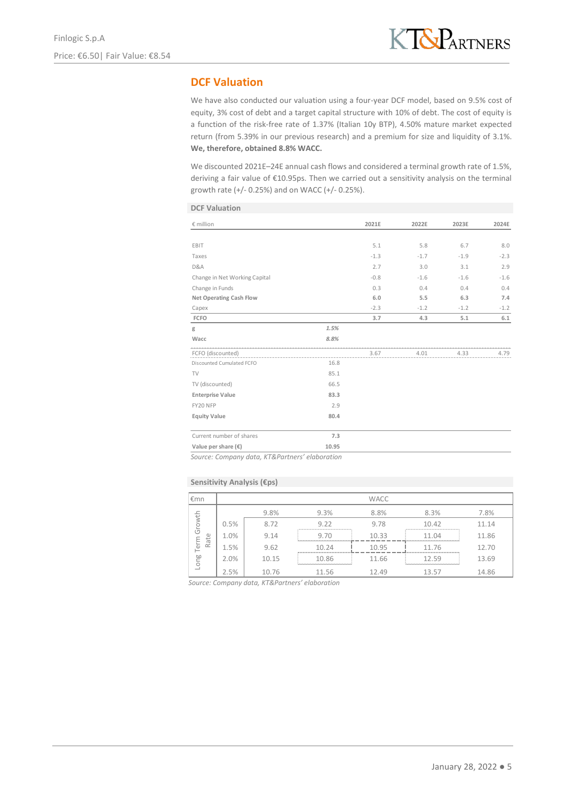## **DCF Valuation**

We have also conducted our valuation using a four-year DCF model, based on 9.5% cost of equity, 3% cost of debt and a target capital structure with 10% of debt. The cost of equity is a function of the risk-free rate of 1.37% (Italian 10y BTP), 4.50% mature market expected return (from 5.39% in our previous research) and a premium for size and liquidity of 3.1%. **We, therefore, obtained 8.8% WACC.**

We discounted 2021E–24E annual cash flows and considered a terminal growth rate of 1.5%, deriving a fair value of €10.95ps. Then we carried out a sensitivity analysis on the terminal growth rate (+/- 0.25%) and on WACC (+/- 0.25%).

|  | <b>DCF Valuation</b> |
|--|----------------------|
|  |                      |

| € million                      |       | 2021E  | 2022E  | 2023E  | 2024E  |
|--------------------------------|-------|--------|--------|--------|--------|
|                                |       |        |        |        |        |
| EBIT                           |       | 5.1    | 5.8    | 6.7    | 8.0    |
| Taxes                          |       | $-1.3$ | $-1.7$ | $-1.9$ | $-2.3$ |
| D&A                            |       | 2.7    | 3.0    | 3.1    | 2.9    |
| Change in Net Working Capital  |       | $-0.8$ | $-1.6$ | $-1.6$ | $-1.6$ |
| Change in Funds                |       | 0.3    | 0.4    | 0.4    | 0.4    |
| <b>Net Operating Cash Flow</b> |       | 6.0    | 5.5    | 6.3    | 7.4    |
| Capex                          |       | $-2.3$ | $-1.2$ | $-1.2$ | $-1.2$ |
| FCFO                           |       | 3.7    | 4.3    | 5.1    | 6.1    |
| g                              | 1.5%  |        |        |        |        |
| Wacc                           | 8.8%  |        |        |        |        |
| FCFO (discounted)              |       | 3.67   | 4.01   | 4.33   | 4.79   |
| Discounted Cumulated FCFO      | 16.8  |        |        |        |        |
| TV                             | 85.1  |        |        |        |        |
| TV (discounted)                | 66.5  |        |        |        |        |
| <b>Enterprise Value</b>        | 83.3  |        |        |        |        |
| FY20 NFP                       | 2.9   |        |        |        |        |
| <b>Equity Value</b>            | 80.4  |        |        |        |        |
| Current number of shares       | 7.3   |        |        |        |        |
| Value per share $(\epsilon)$   | 10.95 |        |        |        |        |

*Source: Company data, KT&Partners' elaboration*

### **Sensitivity Analysis (€ps)**

| l€mn   |      |       |           | <b>WACC</b> |           |       |
|--------|------|-------|-----------|-------------|-----------|-------|
|        |      | 9.8%  | 9.3%      | 8.8%        | 8.3%      | 7.8%  |
| Growth | 0.5% | 8.72  | 9.22      | 9.78        | 10.42     | 11.14 |
| Rate   | 1.0% | 9.14  | 9.70      | 10.33       | 11 N4     | 11.86 |
| Term   | 1.5% | 9.62  | 10.24     | 10.95       | 11.76     | 12.70 |
| Long   | 2.0% | 10.15 | 10.86<br> | 11.66       | 12.59<br> | 13.69 |
|        | 2.5% | 10.76 | 11.56     | 12.49       | 13.57     | 14.86 |

*Source: Company data, KT&Partners' elaboration*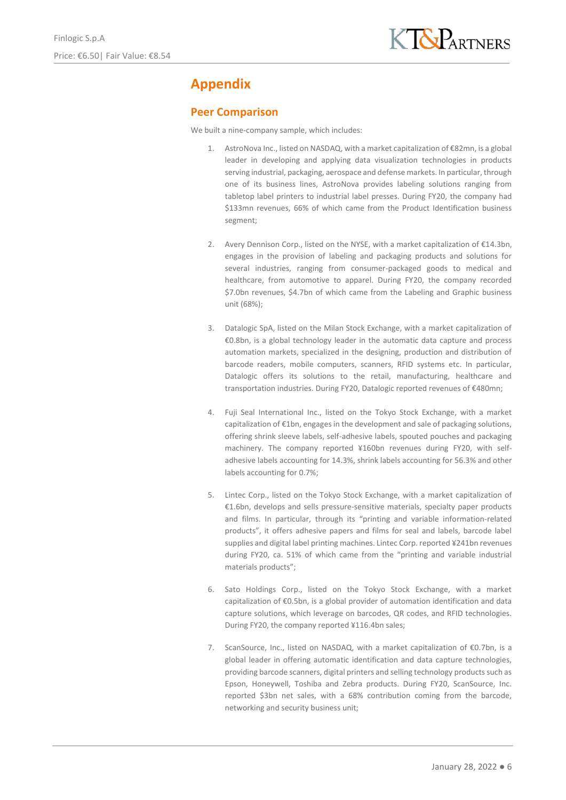# **Appendix**

### **Peer Comparison**

We built a nine-company sample, which includes:

- 1. AstroNova Inc., listed on NASDAQ, with a market capitalization of €82mn, is a global leader in developing and applying data visualization technologies in products serving industrial, packaging, aerospace and defense markets. In particular, through one of its business lines, AstroNova provides labeling solutions ranging from tabletop label printers to industrial label presses. During FY20, the company had \$133mn revenues, 66% of which came from the Product Identification business segment;
- 2. Avery Dennison Corp., listed on the NYSE, with a market capitalization of €14.3bn, engages in the provision of labeling and packaging products and solutions for several industries, ranging from consumer-packaged goods to medical and healthcare, from automotive to apparel. During FY20, the company recorded \$7.0bn revenues, \$4.7bn of which came from the Labeling and Graphic business unit (68%);
- 3. Datalogic SpA, listed on the Milan Stock Exchange, with a market capitalization of €0.8bn, is a global technology leader in the automatic data capture and process automation markets, specialized in the designing, production and distribution of barcode readers, mobile computers, scanners, RFID systems etc. In particular, Datalogic offers its solutions to the retail, manufacturing, healthcare and transportation industries. During FY20, Datalogic reported revenues of €480mn;
- 4. Fuji Seal International Inc., listed on the Tokyo Stock Exchange, with a market capitalization of €1bn, engages in the development and sale of packaging solutions, offering shrink sleeve labels, self-adhesive labels, spouted pouches and packaging machinery. The company reported ¥160bn revenues during FY20, with selfadhesive labels accounting for 14.3%, shrink labels accounting for 56.3% and other labels accounting for 0.7%;
- 5. Lintec Corp., listed on the Tokyo Stock Exchange, with a market capitalization of €1.6bn, develops and sells pressure-sensitive materials, specialty paper products and films. In particular, through its "printing and variable information-related products", it offers adhesive papers and films for seal and labels, barcode label supplies and digital label printing machines. Lintec Corp. reported ¥241bn revenues during FY20, ca. 51% of which came from the "printing and variable industrial materials products";
- 6. Sato Holdings Corp., listed on the Tokyo Stock Exchange, with a market capitalization of €0.5bn, is a global provider of automation identification and data capture solutions, which leverage on barcodes, QR codes, and RFID technologies. During FY20, the company reported ¥116.4bn sales;
- 7. ScanSource, Inc., listed on NASDAQ, with a market capitalization of  $\epsilon$ 0.7bn, is a global leader in offering automatic identification and data capture technologies, providing barcode scanners, digital printers and selling technology products such as Epson, Honeywell, Toshiba and Zebra products. During FY20, ScanSource, Inc. reported \$3bn net sales, with a 68% contribution coming from the barcode, networking and security business unit;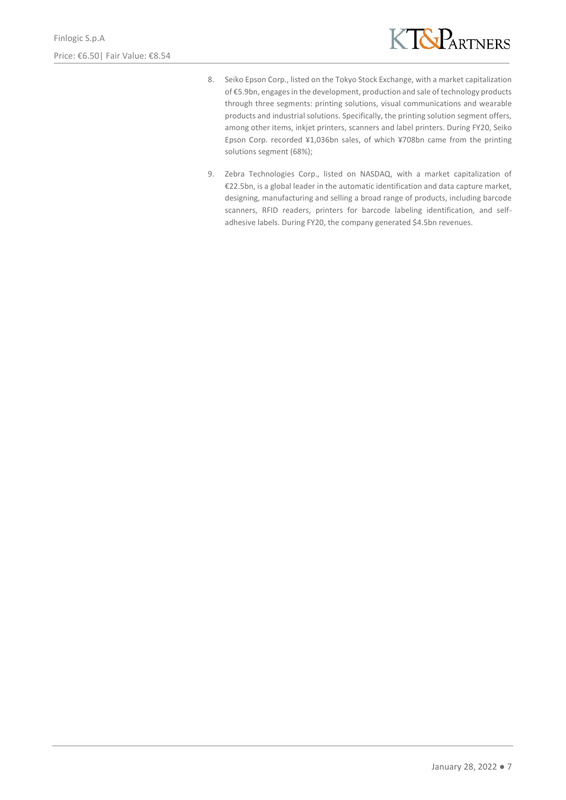

- 8. Seiko Epson Corp., listed on the Tokyo Stock Exchange, with a market capitalization of €5.9bn, engages in the development, production and sale of technology products through three segments: printing solutions, visual communications and wearable products and industrial solutions. Specifically, the printing solution segment offers, among other items, inkjet printers, scanners and label printers. During FY20, Seiko Epson Corp. recorded ¥1,036bn sales, of which ¥708bn came from the printing solutions segment (68%);
- 9. Zebra Technologies Corp., listed on NASDAQ, with a market capitalization of €22.5bn, is a global leader in the automatic identification and data capture market, designing, manufacturing and selling a broad range of products, including barcode scanners, RFID readers, printers for barcode labeling identification, and selfadhesive labels. During FY20, the company generated \$4.5bn revenues.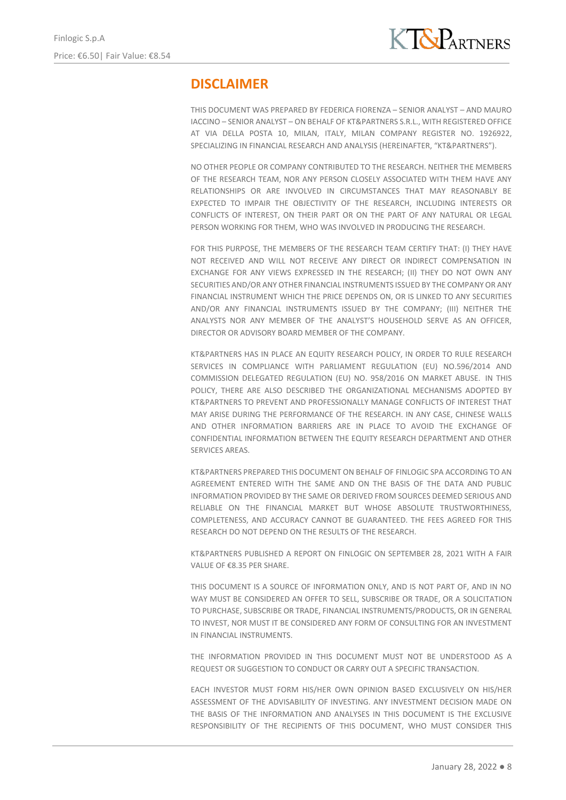# **DISCLAIMER**

THIS DOCUMENT WAS PREPARED BY FEDERICA FIORENZA – SENIOR ANALYST – AND MAURO IACCINO – SENIOR ANALYST – ON BEHALF OF KT&PARTNERS S.R.L., WITH REGISTERED OFFICE AT VIA DELLA POSTA 10, MILAN, ITALY, MILAN COMPANY REGISTER NO. 1926922, SPECIALIZING IN FINANCIAL RESEARCH AND ANALYSIS (HEREINAFTER, "KT&PARTNERS").

NO OTHER PEOPLE OR COMPANY CONTRIBUTED TO THE RESEARCH. NEITHER THE MEMBERS OF THE RESEARCH TEAM, NOR ANY PERSON CLOSELY ASSOCIATED WITH THEM HAVE ANY RELATIONSHIPS OR ARE INVOLVED IN CIRCUMSTANCES THAT MAY REASONABLY BE EXPECTED TO IMPAIR THE OBJECTIVITY OF THE RESEARCH, INCLUDING INTERESTS OR CONFLICTS OF INTEREST, ON THEIR PART OR ON THE PART OF ANY NATURAL OR LEGAL PERSON WORKING FOR THEM, WHO WAS INVOLVED IN PRODUCING THE RESEARCH.

FOR THIS PURPOSE, THE MEMBERS OF THE RESEARCH TEAM CERTIFY THAT: (I) THEY HAVE NOT RECEIVED AND WILL NOT RECEIVE ANY DIRECT OR INDIRECT COMPENSATION IN EXCHANGE FOR ANY VIEWS EXPRESSED IN THE RESEARCH; (II) THEY DO NOT OWN ANY SECURITIES AND/OR ANY OTHER FINANCIAL INSTRUMENTS ISSUED BY THE COMPANY OR ANY FINANCIAL INSTRUMENT WHICH THE PRICE DEPENDS ON, OR IS LINKED TO ANY SECURITIES AND/OR ANY FINANCIAL INSTRUMENTS ISSUED BY THE COMPANY; (III) NEITHER THE ANALYSTS NOR ANY MEMBER OF THE ANALYST'S HOUSEHOLD SERVE AS AN OFFICER, DIRECTOR OR ADVISORY BOARD MEMBER OF THE COMPANY.

KT&PARTNERS HAS IN PLACE AN EQUITY RESEARCH POLICY, IN ORDER TO RULE RESEARCH SERVICES IN COMPLIANCE WITH PARLIAMENT REGULATION (EU) NO.596/2014 AND COMMISSION DELEGATED REGULATION (EU) NO. 958/2016 ON MARKET ABUSE. IN THIS POLICY, THERE ARE ALSO DESCRIBED THE ORGANIZATIONAL MECHANISMS ADOPTED BY KT&PARTNERS TO PREVENT AND PROFESSIONALLY MANAGE CONFLICTS OF INTEREST THAT MAY ARISE DURING THE PERFORMANCE OF THE RESEARCH. IN ANY CASE, CHINESE WALLS AND OTHER INFORMATION BARRIERS ARE IN PLACE TO AVOID THE EXCHANGE OF CONFIDENTIAL INFORMATION BETWEEN THE EQUITY RESEARCH DEPARTMENT AND OTHER SERVICES AREAS.

KT&PARTNERS PREPARED THIS DOCUMENT ON BEHALF OF FINLOGIC SPA ACCORDING TO AN AGREEMENT ENTERED WITH THE SAME AND ON THE BASIS OF THE DATA AND PUBLIC INFORMATION PROVIDED BY THE SAME OR DERIVED FROM SOURCES DEEMED SERIOUS AND RELIABLE ON THE FINANCIAL MARKET BUT WHOSE ABSOLUTE TRUSTWORTHINESS, COMPLETENESS, AND ACCURACY CANNOT BE GUARANTEED. THE FEES AGREED FOR THIS RESEARCH DO NOT DEPEND ON THE RESULTS OF THE RESEARCH.

KT&PARTNERS PUBLISHED A REPORT ON FINLOGIC ON SEPTEMBER 28, 2021 WITH A FAIR VALUE OF €8.35 PER SHARE.

THIS DOCUMENT IS A SOURCE OF INFORMATION ONLY, AND IS NOT PART OF, AND IN NO WAY MUST BE CONSIDERED AN OFFER TO SELL, SUBSCRIBE OR TRADE, OR A SOLICITATION TO PURCHASE, SUBSCRIBE OR TRADE, FINANCIAL INSTRUMENTS/PRODUCTS, OR IN GENERAL TO INVEST, NOR MUST IT BE CONSIDERED ANY FORM OF CONSULTING FOR AN INVESTMENT IN FINANCIAL INSTRUMENTS.

THE INFORMATION PROVIDED IN THIS DOCUMENT MUST NOT BE UNDERSTOOD AS A REQUEST OR SUGGESTION TO CONDUCT OR CARRY OUT A SPECIFIC TRANSACTION.

EACH INVESTOR MUST FORM HIS/HER OWN OPINION BASED EXCLUSIVELY ON HIS/HER ASSESSMENT OF THE ADVISABILITY OF INVESTING. ANY INVESTMENT DECISION MADE ON THE BASIS OF THE INFORMATION AND ANALYSES IN THIS DOCUMENT IS THE EXCLUSIVE RESPONSIBILITY OF THE RECIPIENTS OF THIS DOCUMENT, WHO MUST CONSIDER THIS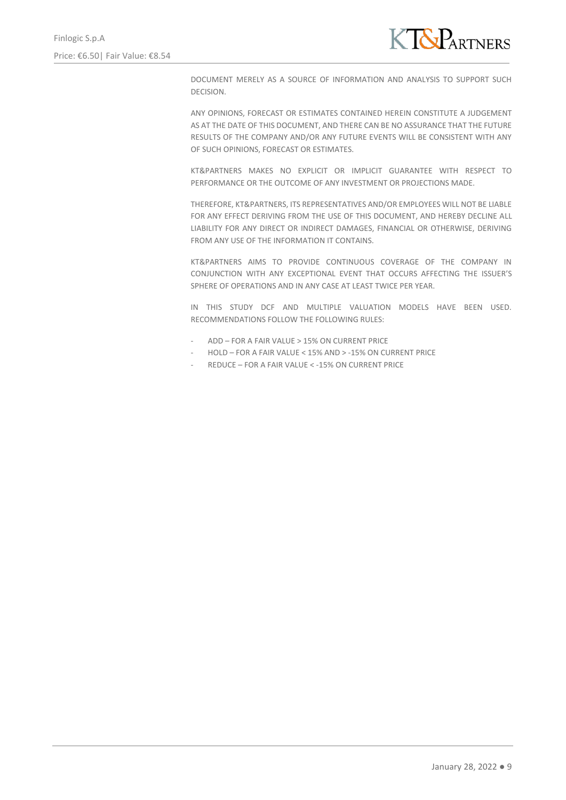

DOCUMENT MERELY AS A SOURCE OF INFORMATION AND ANALYSIS TO SUPPORT SUCH DECISION.

ANY OPINIONS, FORECAST OR ESTIMATES CONTAINED HEREIN CONSTITUTE A JUDGEMENT AS AT THE DATE OF THIS DOCUMENT, AND THERE CAN BE NO ASSURANCE THAT THE FUTURE RESULTS OF THE COMPANY AND/OR ANY FUTURE EVENTS WILL BE CONSISTENT WITH ANY OF SUCH OPINIONS, FORECAST OR ESTIMATES.

KT&PARTNERS MAKES NO EXPLICIT OR IMPLICIT GUARANTEE WITH RESPECT TO PERFORMANCE OR THE OUTCOME OF ANY INVESTMENT OR PROJECTIONS MADE.

THEREFORE, KT&PARTNERS, ITS REPRESENTATIVES AND/OR EMPLOYEES WILL NOT BE LIABLE FOR ANY EFFECT DERIVING FROM THE USE OF THIS DOCUMENT, AND HEREBY DECLINE ALL LIABILITY FOR ANY DIRECT OR INDIRECT DAMAGES, FINANCIAL OR OTHERWISE, DERIVING FROM ANY USE OF THE INFORMATION IT CONTAINS.

KT&PARTNERS AIMS TO PROVIDE CONTINUOUS COVERAGE OF THE COMPANY IN CONJUNCTION WITH ANY EXCEPTIONAL EVENT THAT OCCURS AFFECTING THE ISSUER'S SPHERE OF OPERATIONS AND IN ANY CASE AT LEAST TWICE PER YEAR.

IN THIS STUDY DCF AND MULTIPLE VALUATION MODELS HAVE BEEN USED. RECOMMENDATIONS FOLLOW THE FOLLOWING RULES:

- ADD FOR A FAIR VALUE > 15% ON CURRENT PRICE
- HOLD FOR A FAIR VALUE < 15% AND > -15% ON CURRENT PRICE
- REDUCE FOR A FAIR VALUE < 15% ON CURRENT PRICE